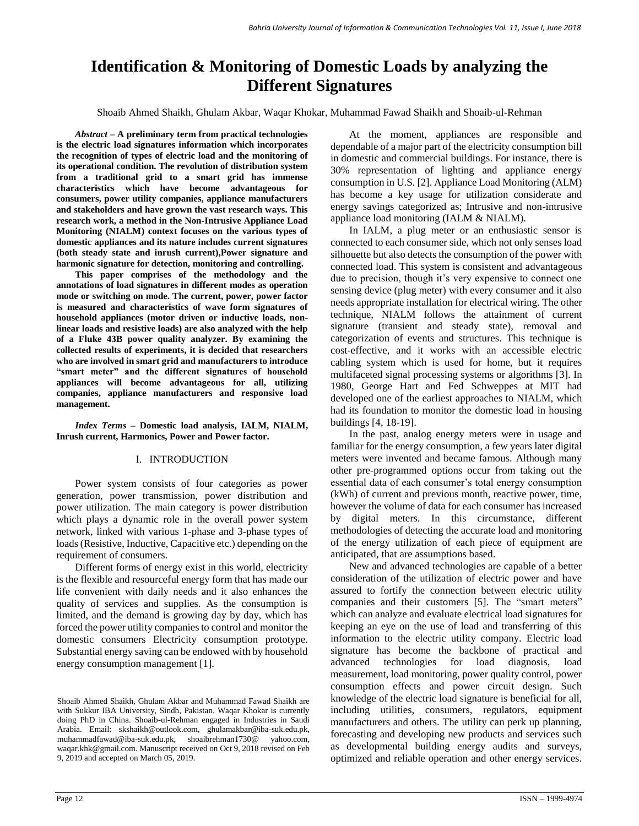# **Identification & Monitoring of Domestic Loads by analyzing the Different Signatures**

Shoaib Ahmed Shaikh, Ghulam Akbar, Waqar Khokar, Muhammad Fawad Shaikh and Shoaib-ul-Rehman

*Abstract –* **A preliminary term from practical technologies is the electric load signatures information which incorporates the recognition of types of electric load and the monitoring of its operational condition. The revolution of distribution system from a traditional grid to a smart grid has immense characteristics which have become advantageous for consumers, power utility companies, appliance manufacturers and stakeholders and have grown the vast research ways. This research work, a method in the Non-Intrusive Appliance Load Monitoring (NIALM) context focuses on the various types of domestic appliances and its nature includes current signatures (both steady state and inrush current),Power signature and harmonic signature for detection, monitoring and controlling.**

**This paper comprises of the methodology and the annotations of load signatures in different modes as operation mode or switching on mode. The current, power, power factor is measured and characteristics of wave form signatures of household appliances (motor driven or inductive loads, nonlinear loads and resistive loads) are also analyzed with the help of a Fluke 43B power quality analyzer. By examining the collected results of experiments, it is decided that researchers who are involved in smart grid and manufacturers to introduce "smart meter" and the different signatures of household appliances will become advantageous for all, utilizing companies, appliance manufacturers and responsive load management.**

*Index Terms –* **Domestic load analysis, IALM, NIALM, Inrush current, Harmonics, Power and Power factor.**

## I. INTRODUCTION

Power system consists of four categories as power generation, power transmission, power distribution and power utilization. The main category is power distribution which plays a dynamic role in the overall power system network, linked with various 1-phase and 3-phase types of loads (Resistive, Inductive, Capacitive etc.) depending on the requirement of consumers.

Different forms of energy exist in this world, electricity is the flexible and resourceful energy form that has made our life convenient with daily needs and it also enhances the quality of services and supplies. As the consumption is limited, and the demand is growing day by day, which has forced the power utility companies to control and monitor the domestic consumers Electricity consumption prototype. Substantial energy saving can be endowed with by household energy consumption management [1].

At the moment, appliances are responsible and dependable of a major part of the electricity consumption bill in domestic and commercial buildings. For instance, there is 30% representation of lighting and appliance energy consumption in U.S. [2]. Appliance Load Monitoring (ALM) has become a key usage for utilization considerate and energy savings categorized as; Intrusive and non-intrusive appliance load monitoring (IALM & NIALM).

In IALM, a plug meter or an enthusiastic sensor is connected to each consumer side, which not only senses load silhouette but also detects the consumption of the power with connected load. This system is consistent and advantageous due to precision, though it's very expensive to connect one sensing device (plug meter) with every consumer and it also needs appropriate installation for electrical wiring. The other technique, NIALM follows the attainment of current signature (transient and steady state), removal and categorization of events and structures. This technique is cost-effective, and it works with an accessible electric cabling system which is used for home, but it requires multifaceted signal processing systems or algorithms [3]. In 1980, George Hart and Fed Schweppes at MIT had developed one of the earliest approaches to NIALM, which had its foundation to monitor the domestic load in housing buildings [4, 18-19].

In the past, analog energy meters were in usage and familiar for the energy consumption, a few years later digital meters were invented and became famous. Although many other pre-programmed options occur from taking out the essential data of each consumer's total energy consumption (kWh) of current and previous month, reactive power, time, however the volume of data for each consumer has increased by digital meters. In this circumstance, different methodologies of detecting the accurate load and monitoring of the energy utilization of each piece of equipment are anticipated, that are assumptions based.

New and advanced technologies are capable of a better consideration of the utilization of electric power and have assured to fortify the connection between electric utility companies and their customers [5]. The "smart meters" which can analyze and evaluate electrical load signatures for keeping an eye on the use of load and transferring of this information to the electric utility company. Electric load signature has become the backbone of practical and advanced technologies for load diagnosis, load measurement, load monitoring, power quality control, power consumption effects and power circuit design. Such knowledge of the electric load signature is beneficial for all, including utilities, consumers, regulators, equipment manufacturers and others. The utility can perk up planning, forecasting and developing new products and services such as developmental building energy audits and surveys, optimized and reliable operation and other energy services.

Shoaib Ahmed Shaikh, Ghulam Akbar and Muhammad Fawad Shaikh are with Sukkur IBA University, Sindh, Pakistan. Waqar Khokar is currently doing PhD in China. Shoaib-ul-Rehman engaged in Industries in Saudi Arabia. Email: skshaikh@outlook.com, ghulamakbar@iba-suk.edu.pk, muhammadfawad@iba-suk.edu.pk, shoaibrehman1730@ yahoo.com, waqar.khk@gmail.com. Manuscript received on Oct 9, 2018 revised on Feb 9, 2019 and accepted on March 05, 2019.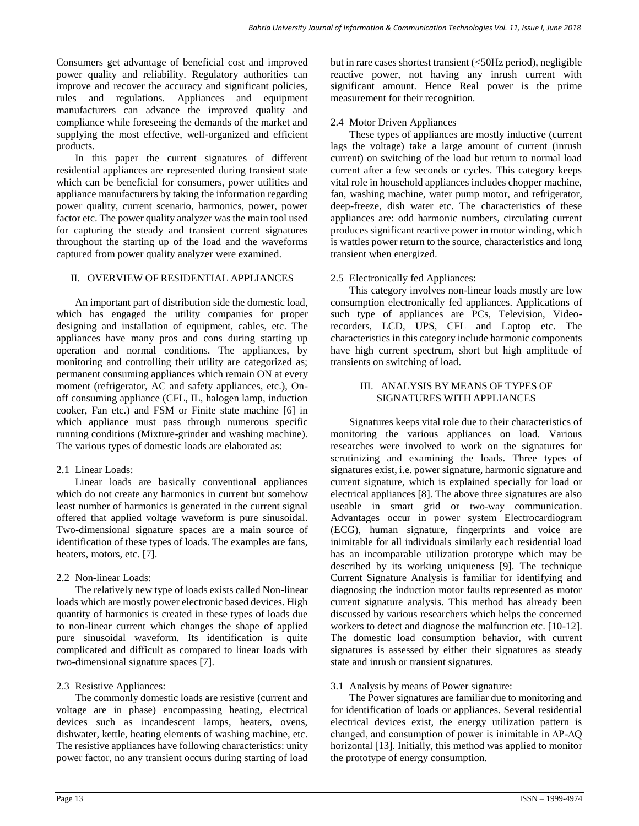Consumers get advantage of beneficial cost and improved power quality and reliability. Regulatory authorities can improve and recover the accuracy and significant policies, rules and regulations. Appliances and equipment manufacturers can advance the improved quality and compliance while foreseeing the demands of the market and supplying the most effective, well-organized and efficient products.

In this paper the current signatures of different residential appliances are represented during transient state which can be beneficial for consumers, power utilities and appliance manufacturers by taking the information regarding power quality, current scenario, harmonics, power, power factor etc. The power quality analyzer was the main tool used for capturing the steady and transient current signatures throughout the starting up of the load and the waveforms captured from power quality analyzer were examined.

# II. OVERVIEW OF RESIDENTIAL APPLIANCES

An important part of distribution side the domestic load, which has engaged the utility companies for proper designing and installation of equipment, cables, etc. The appliances have many pros and cons during starting up operation and normal conditions. The appliances, by monitoring and controlling their utility are categorized as; permanent consuming appliances which remain ON at every moment (refrigerator, AC and safety appliances, etc.), Onoff consuming appliance (CFL, IL, halogen lamp, induction cooker, Fan etc.) and FSM or Finite state machine [6] in which appliance must pass through numerous specific running conditions (Mixture-grinder and washing machine). The various types of domestic loads are elaborated as:

# 2.1 Linear Loads:

Linear loads are basically conventional appliances which do not create any harmonics in current but somehow least number of harmonics is generated in the current signal offered that applied voltage waveform is pure sinusoidal. Two-dimensional signature spaces are a main source of identification of these types of loads. The examples are fans, heaters, motors, etc. [7].

# 2.2 Non-linear Loads:

The relatively new type of loads exists called Non-linear loads which are mostly power electronic based devices. High quantity of harmonics is created in these types of loads due to non-linear current which changes the shape of applied pure sinusoidal waveform. Its identification is quite complicated and difficult as compared to linear loads with two-dimensional signature spaces [7].

# 2.3 Resistive Appliances:

The commonly domestic loads are resistive (current and voltage are in phase) encompassing heating, electrical devices such as incandescent lamps, heaters, ovens, dishwater, kettle, heating elements of washing machine, etc. The resistive appliances have following characteristics: unity power factor, no any transient occurs during starting of load but in rare cases shortest transient (<50Hz period), negligible reactive power, not having any inrush current with significant amount. Hence Real power is the prime measurement for their recognition.

# 2.4 Motor Driven Appliances

These types of appliances are mostly inductive (current lags the voltage) take a large amount of current (inrush current) on switching of the load but return to normal load current after a few seconds or cycles. This category keeps vital role in household appliances includes chopper machine, fan, washing machine, water pump motor, and refrigerator, deep-freeze, dish water etc. The characteristics of these appliances are: odd harmonic numbers, circulating current produces significant reactive power in motor winding, which is wattles power return to the source, characteristics and long transient when energized.

# 2.5 Electronically fed Appliances:

This category involves non-linear loads mostly are low consumption electronically fed appliances. Applications of such type of appliances are PCs, Television, Videorecorders, LCD, UPS, CFL and Laptop etc. The characteristics in this category include harmonic components have high current spectrum, short but high amplitude of transients on switching of load.

## III. ANALYSIS BY MEANS OF TYPES OF SIGNATURES WITH APPLIANCES

Signatures keeps vital role due to their characteristics of monitoring the various appliances on load. Various researches were involved to work on the signatures for scrutinizing and examining the loads. Three types of signatures exist, i.e. power signature, harmonic signature and current signature, which is explained specially for load or electrical appliances [8]. The above three signatures are also useable in smart grid or two-way communication. Advantages occur in power system Electrocardiogram (ECG), human signature, fingerprints and voice are inimitable for all individuals similarly each residential load has an incomparable utilization prototype which may be described by its working uniqueness [9]. The technique Current Signature Analysis is familiar for identifying and diagnosing the induction motor faults represented as motor current signature analysis. This method has already been discussed by various researchers which helps the concerned workers to detect and diagnose the malfunction etc. [10-12]. The domestic load consumption behavior, with current signatures is assessed by either their signatures as steady state and inrush or transient signatures.

# 3.1 Analysis by means of Power signature:

The Power signatures are familiar due to monitoring and for identification of loads or appliances. Several residential electrical devices exist, the energy utilization pattern is changed, and consumption of power is inimitable in ∆P-∆Q horizontal [13]. Initially, this method was applied to monitor the prototype of energy consumption.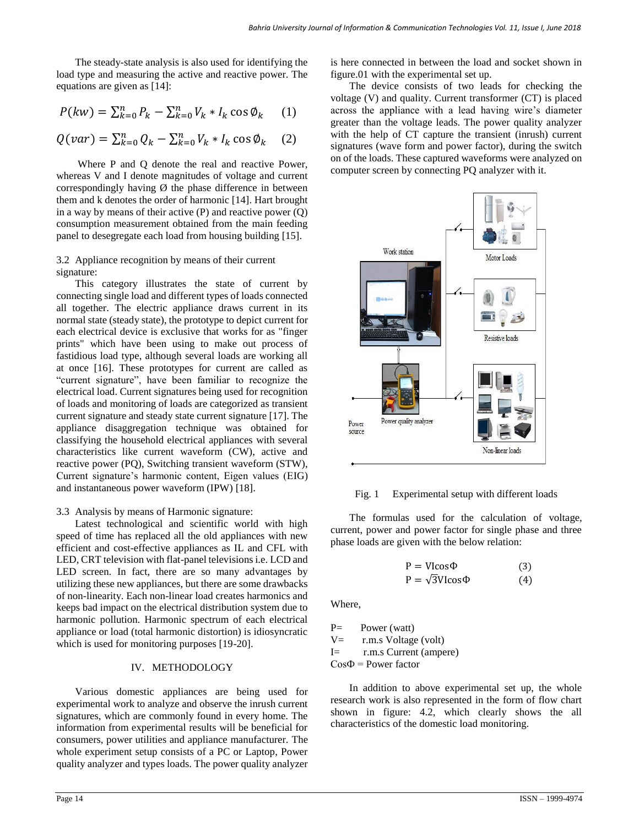The steady-state analysis is also used for identifying the load type and measuring the active and reactive power. The equations are given as [14]:

$$
P(kw) = \sum_{k=0}^{n} P_k - \sum_{k=0}^{n} V_k * I_k \cos \phi_k \qquad (1)
$$

$$
Q(var) = \sum_{k=0}^{n} Q_k - \sum_{k=0}^{n} V_k * I_k \cos \phi_k \quad (2)
$$

Where P and Q denote the real and reactive Power, whereas V and I denote magnitudes of voltage and current correspondingly having  $\emptyset$  the phase difference in between them and k denotes the order of harmonic [14]. Hart brought in a way by means of their active (P) and reactive power (Q) consumption measurement obtained from the main feeding panel to desegregate each load from housing building [15].

## 3.2 Appliance recognition by means of their current signature:

This category illustrates the state of current by connecting single load and different types of loads connected all together. The electric appliance draws current in its normal state (steady state), the prototype to depict current for each electrical device is exclusive that works for as "finger prints" which have been using to make out process of fastidious load type, although several loads are working all at once [16]. These prototypes for current are called as "current signature", have been familiar to recognize the electrical load. Current signatures being used for recognition of loads and monitoring of loads are categorized as transient current signature and steady state current signature [17]. The appliance disaggregation technique was obtained for classifying the household electrical appliances with several characteristics like current waveform (CW), active and reactive power (PQ), Switching transient waveform (STW), Current signature's harmonic content, Eigen values (EIG) and instantaneous power waveform (IPW) [18].

## 3.3 Analysis by means of Harmonic signature:

Latest technological and scientific world with high speed of time has replaced all the old appliances with new efficient and cost-effective appliances as IL and CFL with LED, CRT television with flat-panel televisions i.e. LCD and LED screen. In fact, there are so many advantages by utilizing these new appliances, but there are some drawbacks of non-linearity. Each non-linear load creates harmonics and keeps bad impact on the electrical distribution system due to harmonic pollution. Harmonic spectrum of each electrical appliance or load (total harmonic distortion) is idiosyncratic which is used for monitoring purposes [19-20].

## IV. METHODOLOGY

Various domestic appliances are being used for experimental work to analyze and observe the inrush current signatures, which are commonly found in every home. The information from experimental results will be beneficial for consumers, power utilities and appliance manufacturer. The whole experiment setup consists of a PC or Laptop, Power quality analyzer and types loads. The power quality analyzer is here connected in between the load and socket shown in figure.01 with the experimental set up.

The device consists of two leads for checking the voltage (V) and quality. Current transformer (CT) is placed across the appliance with a lead having wire's diameter greater than the voltage leads. The power quality analyzer with the help of CT capture the transient (inrush) current signatures (wave form and power factor), during the switch on of the loads. These captured waveforms were analyzed on computer screen by connecting PQ analyzer with it.



Fig. 1 Experimental setup with different loads

The formulas used for the calculation of voltage, current, power and power factor for single phase and three phase loads are given with the below relation:

$$
P = VIcos\Phi
$$
 (3)  

$$
P = \sqrt{3}VIcos\Phi
$$
 (4)

Where,

P= Power (watt) V= r.m.s Voltage (volt) I= r.m.s Current (ampere)  $Cos\Phi = Power$  factor

In addition to above experimental set up, the whole research work is also represented in the form of flow chart shown in figure: 4.2, which clearly shows the all characteristics of the domestic load monitoring.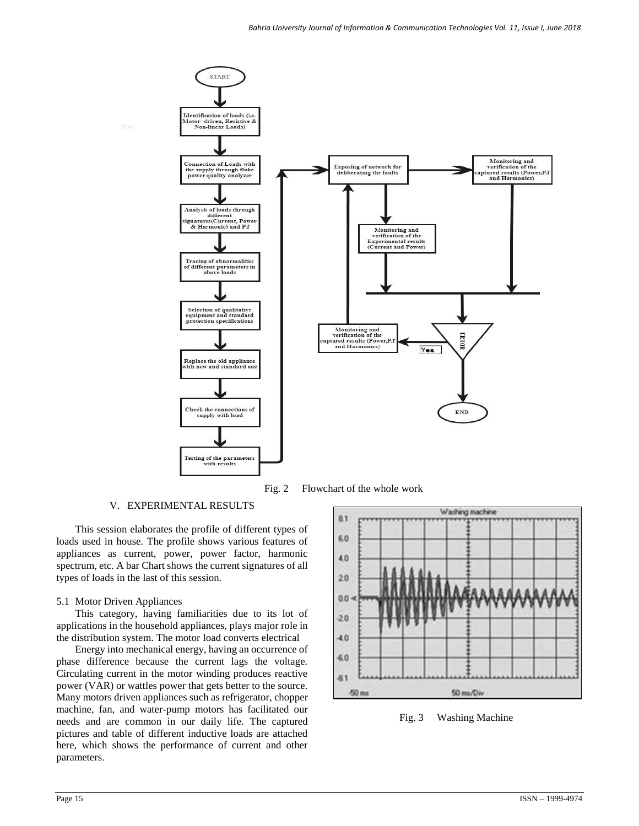

Fig. 2 Flowchart of the whole work

## V. EXPERIMENTAL RESULTS

This session elaborates the profile of different types of loads used in house. The profile shows various features of appliances as current, power, power factor, harmonic spectrum, etc. A bar Chart shows the current signatures of all types of loads in the last of this session.

## 5.1 Motor Driven Appliances

This category, having familiarities due to its lot of applications in the household appliances, plays major role in the distribution system. The motor load converts electrical

Energy into mechanical energy, having an occurrence of phase difference because the current lags the voltage. Circulating current in the motor winding produces reactive power (VAR) or wattles power that gets better to the source. Many motors driven appliances such as refrigerator, chopper machine, fan, and water-pump motors has facilitated our needs and are common in our daily life. The captured pictures and table of different inductive loads are attached here, which shows the performance of current and other parameters.



Fig. 3 Washing Machine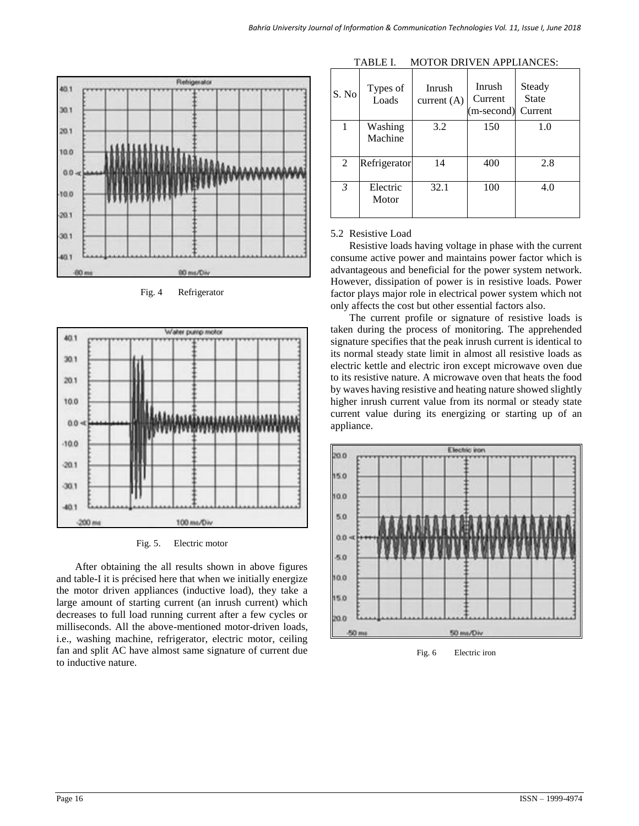

Fig. 4 Refrigerator



Fig. 5. Electric motor

After obtaining the all results shown in above figures and table-I it is précised here that when we initially energize the motor driven appliances (inductive load), they take a large amount of starting current (an inrush current) which decreases to full load running current after a few cycles or milliseconds. All the above-mentioned motor-driven loads, i.e., washing machine, refrigerator, electric motor, ceiling fan and split AC have almost same signature of current due to inductive nature.

| S. No          | Types of<br>Loads  | Inrush<br>current $(A)$ | Inrush<br>Current<br>(m-second) | Steady<br><b>State</b><br>Current |
|----------------|--------------------|-------------------------|---------------------------------|-----------------------------------|
|                | Washing<br>Machine | 3.2                     | 150                             | 1.0                               |
| 2              | Refrigerator       | 14                      | 400                             | 2.8                               |
| $\mathfrak{Z}$ | Electric<br>Motor  | 32.1                    | 100                             | 4.0                               |

TABLE I. MOTOR DRIVEN APPLIANCES:

#### 5.2 Resistive Load

Resistive loads having voltage in phase with the current consume active power and maintains power factor which is advantageous and beneficial for the power system network. However, dissipation of power is in resistive loads. Power factor plays major role in electrical power system which not only affects the cost but other essential factors also.

The current profile or signature of resistive loads is taken during the process of monitoring. The apprehended signature specifies that the peak inrush current is identical to its normal steady state limit in almost all resistive loads as electric kettle and electric iron except microwave oven due to its resistive nature. A microwave oven that heats the food by waves having resistive and heating nature showed slightly higher inrush current value from its normal or steady state current value during its energizing or starting up of an appliance.



Fig. 6 Electric iron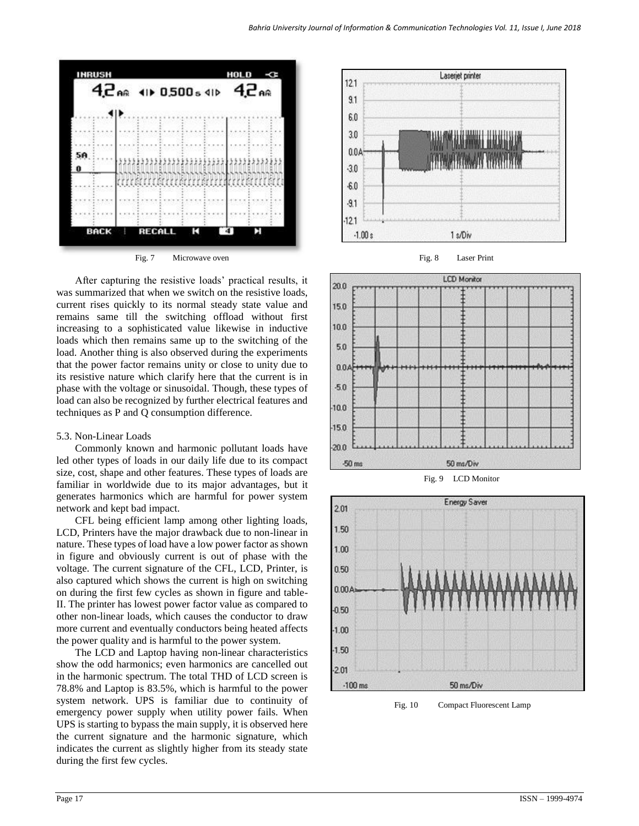



After capturing the resistive loads' practical results, it was summarized that when we switch on the resistive loads, current rises quickly to its normal steady state value and remains same till the switching offload without first increasing to a sophisticated value likewise in inductive loads which then remains same up to the switching of the load. Another thing is also observed during the experiments that the power factor remains unity or close to unity due to its resistive nature which clarify here that the current is in phase with the voltage or sinusoidal. Though, these types of load can also be recognized by further electrical features and techniques as P and Q consumption difference.

#### 5.3. Non-Linear Loads

Commonly known and harmonic pollutant loads have led other types of loads in our daily life due to its compact size, cost, shape and other features. These types of loads are familiar in worldwide due to its major advantages, but it generates harmonics which are harmful for power system network and kept bad impact.

CFL being efficient lamp among other lighting loads, LCD, Printers have the major drawback due to non-linear in nature. These types of load have a low power factor as shown in figure and obviously current is out of phase with the voltage. The current signature of the CFL, LCD, Printer, is also captured which shows the current is high on switching on during the first few cycles as shown in figure and table-II. The printer has lowest power factor value as compared to other non-linear loads, which causes the conductor to draw more current and eventually conductors being heated affects the power quality and is harmful to the power system.

The LCD and Laptop having non-linear characteristics show the odd harmonics; even harmonics are cancelled out in the harmonic spectrum. The total THD of LCD screen is 78.8% and Laptop is 83.5%, which is harmful to the power system network. UPS is familiar due to continuity of emergency power supply when utility power fails. When UPS is starting to bypass the main supply, it is observed here the current signature and the harmonic signature, which indicates the current as slightly higher from its steady state during the first few cycles.









Fig. 10 Compact Fluorescent Lamp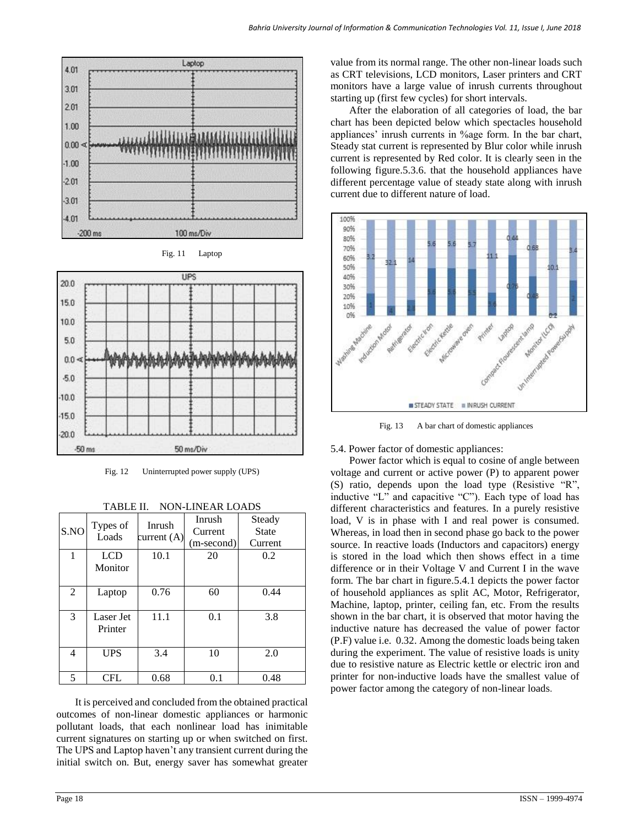





Fig. 12 Uninterrupted power supply (UPS)

| S.NO | Types of<br>Loads     | Inrush<br>current $(A)$ | Inrush<br>Current<br>(m-second) | Steady<br><b>State</b><br>Current |  |
|------|-----------------------|-------------------------|---------------------------------|-----------------------------------|--|
|      | <b>LCD</b><br>Monitor | 10.1                    | 20                              | 0.2                               |  |
| 2    | Laptop                | 0.76                    | 60                              | 0.44                              |  |
| 3    | Laser Jet<br>Printer  | 11.1                    | 0.1                             | 3.8                               |  |
| 4    | <b>UPS</b>            | 3.4                     | 10                              | 2.0                               |  |
| 5    | CFL                   | 0.68                    | 0.1                             | 0.48                              |  |

TABLE II. NON-LINEAR LOADS

It is perceived and concluded from the obtained practical outcomes of non-linear domestic appliances or harmonic pollutant loads, that each nonlinear load has inimitable current signatures on starting up or when switched on first. The UPS and Laptop haven't any transient current during the initial switch on. But, energy saver has somewhat greater

value from its normal range. The other non-linear loads such as CRT televisions, LCD monitors, Laser printers and CRT monitors have a large value of inrush currents throughout starting up (first few cycles) for short intervals.

After the elaboration of all categories of load, the bar chart has been depicted below which spectacles household appliances' inrush currents in %age form. In the bar chart, Steady stat current is represented by Blur color while inrush current is represented by Red color. It is clearly seen in the following figure.5.3.6. that the household appliances have different percentage value of steady state along with inrush current due to different nature of load.



Fig. 13 A bar chart of domestic appliances

#### 5.4. Power factor of domestic appliances:

Power factor which is equal to cosine of angle between voltage and current or active power (P) to apparent power (S) ratio, depends upon the load type (Resistive "R", inductive "L" and capacitive "C"). Each type of load has different characteristics and features. In a purely resistive load, V is in phase with I and real power is consumed. Whereas, in load then in second phase go back to the power source. In reactive loads (Inductors and capacitors) energy is stored in the load which then shows effect in a time difference or in their Voltage V and Current I in the wave form. The bar chart in figure.5.4.1 depicts the power factor of household appliances as split AC, Motor, Refrigerator, Machine, laptop, printer, ceiling fan, etc. From the results shown in the bar chart, it is observed that motor having the inductive nature has decreased the value of power factor (P.F) value i.e. 0.32. Among the domestic loads being taken during the experiment. The value of resistive loads is unity due to resistive nature as Electric kettle or electric iron and printer for non-inductive loads have the smallest value of power factor among the category of non-linear loads.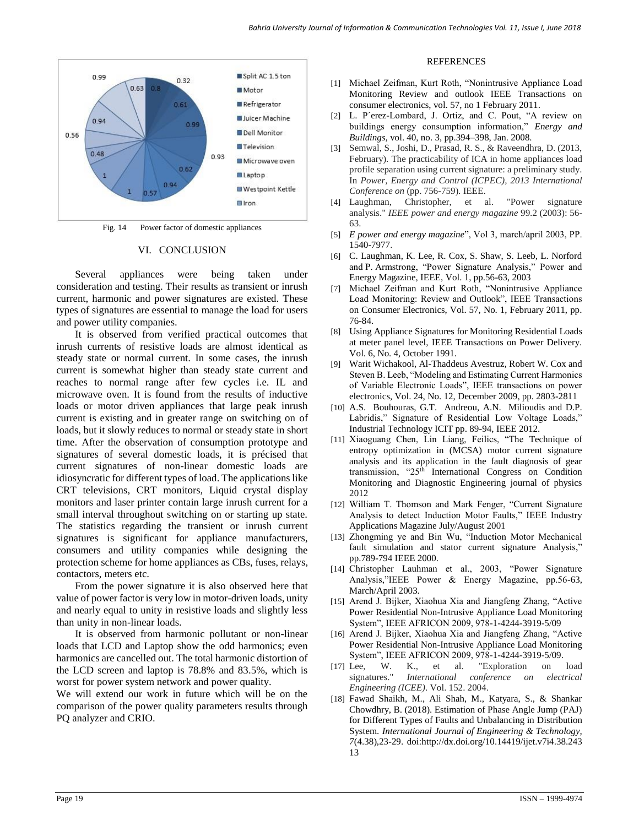

Fig. 14 Power factor of domestic appliances

#### VI. CONCLUSION

Several appliances were being taken under consideration and testing. Their results as transient or inrush current, harmonic and power signatures are existed. These types of signatures are essential to manage the load for users and power utility companies.

It is observed from verified practical outcomes that inrush currents of resistive loads are almost identical as steady state or normal current. In some cases, the inrush current is somewhat higher than steady state current and reaches to normal range after few cycles i.e. IL and microwave oven. It is found from the results of inductive loads or motor driven appliances that large peak inrush current is existing and in greater range on switching on of loads, but it slowly reduces to normal or steady state in short time. After the observation of consumption prototype and signatures of several domestic loads, it is précised that current signatures of non-linear domestic loads are idiosyncratic for different types of load. The applications like CRT televisions, CRT monitors, Liquid crystal display monitors and laser printer contain large inrush current for a small interval throughout switching on or starting up state. The statistics regarding the transient or inrush current signatures is significant for appliance manufacturers, consumers and utility companies while designing the protection scheme for home appliances as CBs, fuses, relays, contactors, meters etc.

From the power signature it is also observed here that value of power factor is very low in motor-driven loads, unity and nearly equal to unity in resistive loads and slightly less than unity in non-linear loads.

It is observed from harmonic pollutant or non-linear loads that LCD and Laptop show the odd harmonics; even harmonics are cancelled out. The total harmonic distortion of the LCD screen and laptop is 78.8% and 83.5%, which is worst for power system network and power quality.

We will extend our work in future which will be on the comparison of the power quality parameters results through PQ analyzer and CRIO.

#### **REFERENCES**

- [1] Michael Zeifman, Kurt Roth, "Nonintrusive Appliance Load Monitoring Review and outlook IEEE Transactions on consumer electronics, vol. 57, no 1 February 2011.
- [2] L. P´erez-Lombard, J. Ortiz, and C. Pout, "A review on buildings energy consumption information," *Energy and Buildings*, vol. 40, no. 3, pp.394–398, Jan. 2008.
- [3] Semwal, S., Joshi, D., Prasad, R. S., & Raveendhra, D. (2013, February). The practicability of ICA in home appliances load profile separation using current signature: a preliminary study. In *Power, Energy and Control (ICPEC), 2013 International Conference on* (pp. 756-759). IEEE.
- [4] Laughman, Christopher, et al. "Power signature analysis." *IEEE power and energy magazine* 99.2 (2003): 56- 63.
- [5] *E power and energy magazine*", Vol 3, march/april 2003, PP. 1540-7977.
- [6] C. Laughman, K. Lee, R. Cox, S. Shaw, S. Leeb, L. Norford and P. Armstrong, "Power Signature Analysis," Power and Energy Magazine, IEEE, Vol. 1, pp.56-63, 2003
- [7] Michael Zeifman and Kurt Roth, "Nonintrusive Appliance Load Monitoring: Review and Outlook", IEEE Transactions on Consumer Electronics, Vol. 57, No. 1, February 2011, pp. 76-84.
- [8] Using Appliance Signatures for Monitoring Residential Loads at meter panel level, IEEE Transactions on Power Delivery. Vol. 6, No. 4, October 1991.
- [9] Warit Wichakool, Al-Thaddeus Avestruz, Robert W. Cox and Steven B. Leeb, "Modeling and Estimating Current Harmonics of Variable Electronic Loads", IEEE transactions on power electronics, Vol. 24, No. 12, December 2009, pp. 2803-2811
- [10] A.S. Bouhouras, G.T. Andreou, A.N. Milioudis and D.P. Labridis," Signature of Residential Low Voltage Loads," Industrial Technology ICIT pp. 89-94, IEEE 2012.
- [11] Xiaoguang Chen, Lin Liang, Feilics, "The Technique of entropy optimization in (MCSA) motor current signature analysis and its application in the fault diagnosis of gear transmission, "25th International Congress on Condition Monitoring and Diagnostic Engineering journal of physics 2012
- [12] William T. Thomson and Mark Fenger, "Current Signature Analysis to detect Induction Motor Faults," IEEE Industry Applications Magazine July/August 2001
- [13] Zhongming ye and Bin Wu, "Induction Motor Mechanical fault simulation and stator current signature Analysis," pp.789-794 IEEE 2000.
- [14] Christopher Lauhman et al., 2003, "Power Signature Analysis,"IEEE Power & Energy Magazine, pp.56-63, March/April 2003.
- [15] Arend J. Bijker, Xiaohua Xia and Jiangfeng Zhang, "Active Power Residential Non-Intrusive Appliance Load Monitoring System", IEEE AFRICON 2009, 978-1-4244-3919-5/09
- [16] Arend J. Bijker, Xiaohua Xia and Jiangfeng Zhang, "Active Power Residential Non-Intrusive Appliance Load Monitoring System", IEEE AFRICON 2009, 978-1-4244-3919-5/09.
- [17] Lee, W. K., et al. "Exploration on load signatures." *International conference on electrical Engineering (ICEE)*. Vol. 152. 2004.
- [18] Fawad Shaikh, M., Ali Shah, M., Katyara, S., & Shankar Chowdhry, B. (2018). Estimation of Phase Angle Jump (PAJ) for Different Types of Faults and Unbalancing in Distribution System. *International Journal of Engineering & Technology, 7*(4.38),23-29. doi:http://dx.doi.org/10.14419/ijet.v7i4.38.243 13